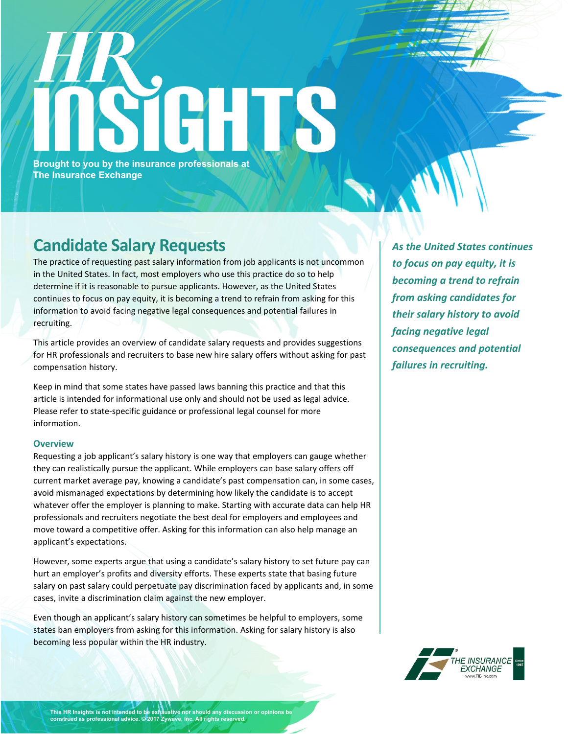# **Brought to you by the insurance professionals at The Insurance Exchange**

## **Candidate Salary Requests**

The practice of requesting past salary information from job applicants is not uncommon in the United States. In fact, most employers who use this practice do so to help determine if it is reasonable to pursue applicants. However, as the United States continues to focus on pay equity, it is becoming a trend to refrain from asking for this information to avoid facing negative legal consequences and potential failures in recruiting.

This article provides an overview of candidate salary requests and provides suggestions for HR professionals and recruiters to base new hire salary offers without asking for past compensation history.

Keep in mind that some states have passed laws banning this practice and that this article is intended for informational use only and should not be used as legal advice. Please refer to state-specific guidance or professional legal counsel for more information.

### **Overview**

Requesting a job applicant's salary history is one way that employers can gauge whether they can realistically pursue the applicant. While employers can base salary offers off current market average pay, knowing a candidate's past compensation can, in some cases, avoid mismanaged expectations by determining how likely the candidate is to accept whatever offer the employer is planning to make. Starting with accurate data can help HR professionals and recruiters negotiate the best deal for employers and employees and move toward a competitive offer. Asking for this information can also help manage an applicant's expectations.

However, some experts argue that using a candidate's salary history to set future pay can hurt an employer's profits and diversity efforts. These experts state that basing future salary on past salary could perpetuate pay discrimination faced by applicants and, in some cases, invite a discrimination claim against the new employer.

Even though an applicant's salary history can sometimes be helpful to employers, some states ban employers from asking for this information. Asking for salary history is also becoming less popular within the HR industry.

*As the United States continues to focus on pay equity, it is becoming a trend to refrain from asking candidates for their salary history to avoid facing negative legal consequences and potential failures in recruiting.*